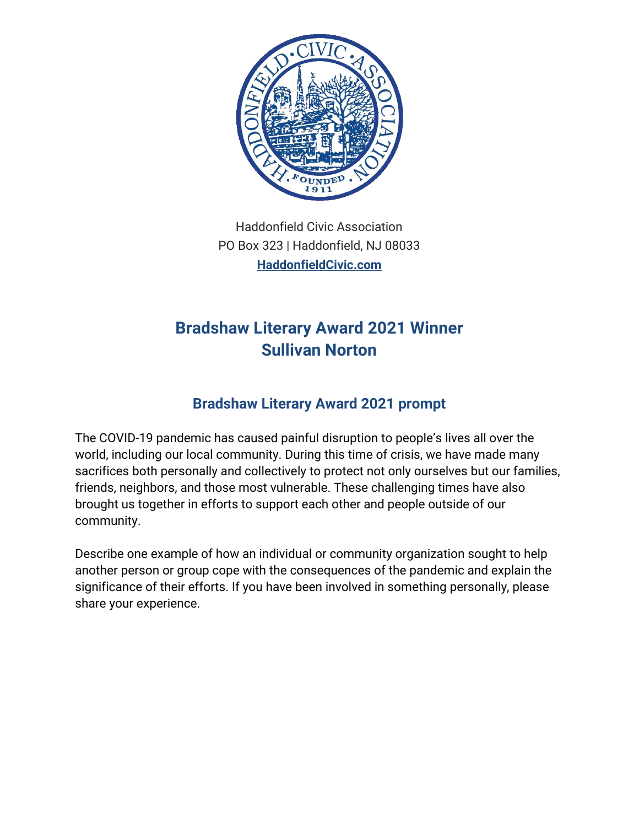

Haddonfield Civic Association PO Box 323 | Haddonfield, NJ 08033 **[HaddonfieldCivic.com](https://haddonfieldcivic.com/)**

## **Bradshaw Literary Award 2021 Winner Sullivan Norton**

## **Bradshaw Literary Award 2021 prompt**

The COVID-19 pandemic has caused painful disruption to people's lives all over the world, including our local community. During this time of crisis, we have made many sacrifices both personally and collectively to protect not only ourselves but our families, friends, neighbors, and those most vulnerable. These challenging times have also brought us together in efforts to support each other and people outside of our community.

Describe one example of how an individual or community organization sought to help another person or group cope with the consequences of the pandemic and explain the significance of their efforts. If you have been involved in something personally, please share your experience.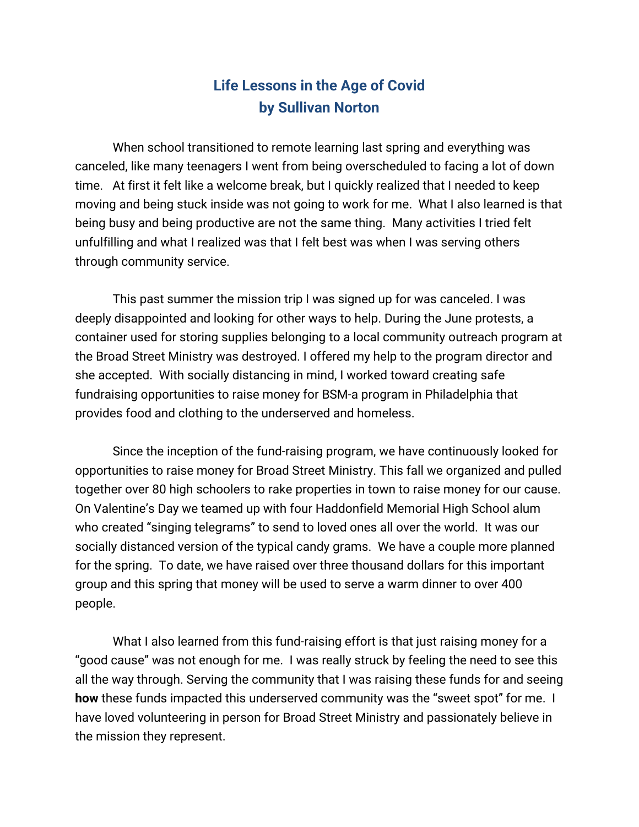## **Life Lessons in the Age of Covid by Sullivan Norton**

When school transitioned to remote learning last spring and everything was canceled, like many teenagers I went from being overscheduled to facing a lot of down time. At first it felt like a welcome break, but I quickly realized that I needed to keep moving and being stuck inside was not going to work for me. What I also learned is that being busy and being productive are not the same thing. Many activities I tried felt unfulfilling and what I realized was that I felt best was when I was serving others through community service.

This past summer the mission trip I was signed up for was canceled. I was deeply disappointed and looking for other ways to help. During the June protests, a container used for storing supplies belonging to a local community outreach program at the Broad Street Ministry was destroyed. I offered my help to the program director and she accepted. With socially distancing in mind, I worked toward creating safe fundraising opportunities to raise money for BSM-a program in Philadelphia that provides food and clothing to the underserved and homeless.

Since the inception of the fund-raising program, we have continuously looked for opportunities to raise money for Broad Street Ministry. This fall we organized and pulled together over 80 high schoolers to rake properties in town to raise money for our cause. On Valentine's Day we teamed up with four Haddonfield Memorial High School alum who created "singing telegrams" to send to loved ones all over the world. It was our socially distanced version of the typical candy grams. We have a couple more planned for the spring. To date, we have raised over three thousand dollars for this important group and this spring that money will be used to serve a warm dinner to over 400 people.

What I also learned from this fund-raising effort is that just raising money for a "good cause" was not enough for me. I was really struck by feeling the need to see this all the way through. Serving the community that I was raising these funds for and seeing **how** these funds impacted this underserved community was the "sweet spot" for me. I have loved volunteering in person for Broad Street Ministry and passionately believe in the mission they represent.